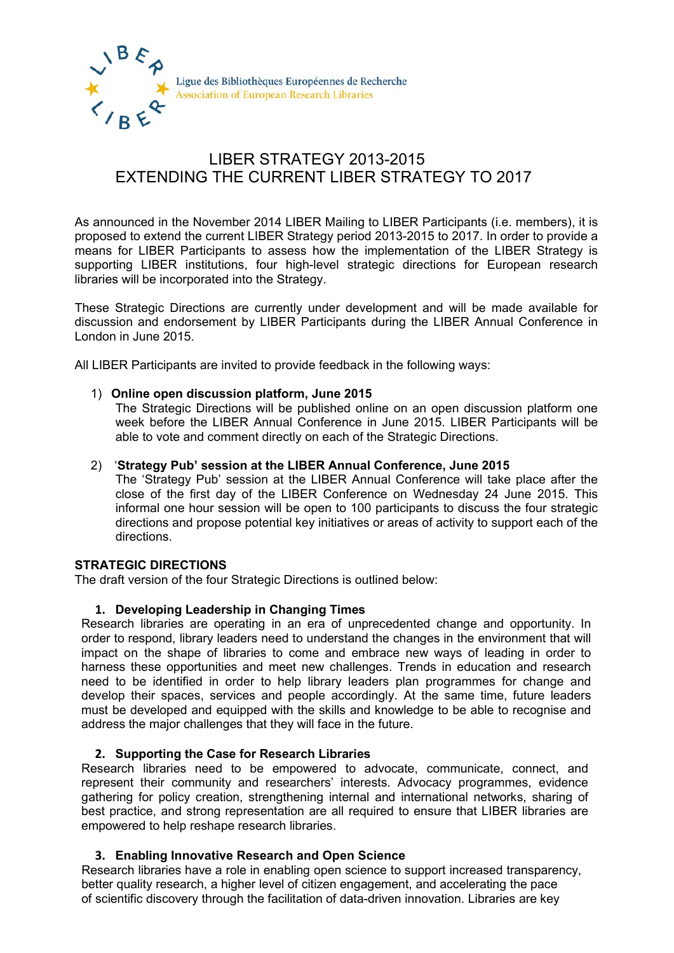

# LIBER STRATEGY 2013-2015 EXTENDING THE CURRENT LIBER STRATEGY TO 2017

As announced in the November 2014 LIBER Mailing to LIBER Participants (i.e. members), it is proposed to extend the current LIBER Strategy period 2013-2015 to 2017. In order to provide a means for LIBER Participants to assess how the implementation of the LIBER Strategy is supporting LIBER institutions, four high-level strategic directions for European research libraries will be incorporated into the Strategy.

These Strategic Directions are currently under development and will be made available for discussion and endorsement by LIBER Participants during the LIBER Annual Conference in London in June 2015.

All LIBER Participants are invited to provide feedback in the following ways:

### 1) **Online open discussion platform, June 2015**

The Strategic Directions will be published online on an open discussion platform one week before the LIBER Annual Conference in June 2015. LIBER Participants will be able to vote and comment directly on each of the Strategic Directions.

### 2) '**Strategy Pub' session at the LIBER Annual Conference, June 2015**

The 'Strategy Pub' session at the LIBER Annual Conference will take place after the close of the first day of the LIBER Conference on Wednesday 24 June 2015. This informal one hour session will be open to 100 participants to discuss the four strategic directions and propose potential key initiatives or areas of activity to support each of the directions.

# **STRATEGIC DIRECTIONS**

The draft version of the four Strategic Directions is outlined below:

# **1. Developing Leadership in Changing Times**

Research libraries are operating in an era of unprecedented change and opportunity. In order to respond, library leaders need to understand the changes in the environment that will impact on the shape of libraries to come and embrace new ways of leading in order to harness these opportunities and meet new challenges. Trends in education and research need to be identified in order to help library leaders plan programmes for change and develop their spaces, services and people accordingly. At the same time, future leaders must be developed and equipped with the skills and knowledge to be able to recognise and address the major challenges that they will face in the future.

#### **2. Supporting the Case for Research Libraries**

Research libraries need to be empowered to advocate, communicate, connect, and represent their community and researchers' interests. Advocacy programmes, evidence gathering for policy creation, strengthening internal and international networks, sharing of best practice, and strong representation are all required to ensure that LIBER libraries are empowered to help reshape research libraries.

#### **3. Enabling Innovative Research and Open Science**

Research libraries have a role in enabling open science to support increased transparency, better quality research, a higher level of citizen engagement, and accelerating the pace of scientific discovery through the facilitation of data-driven innovation. Libraries are key